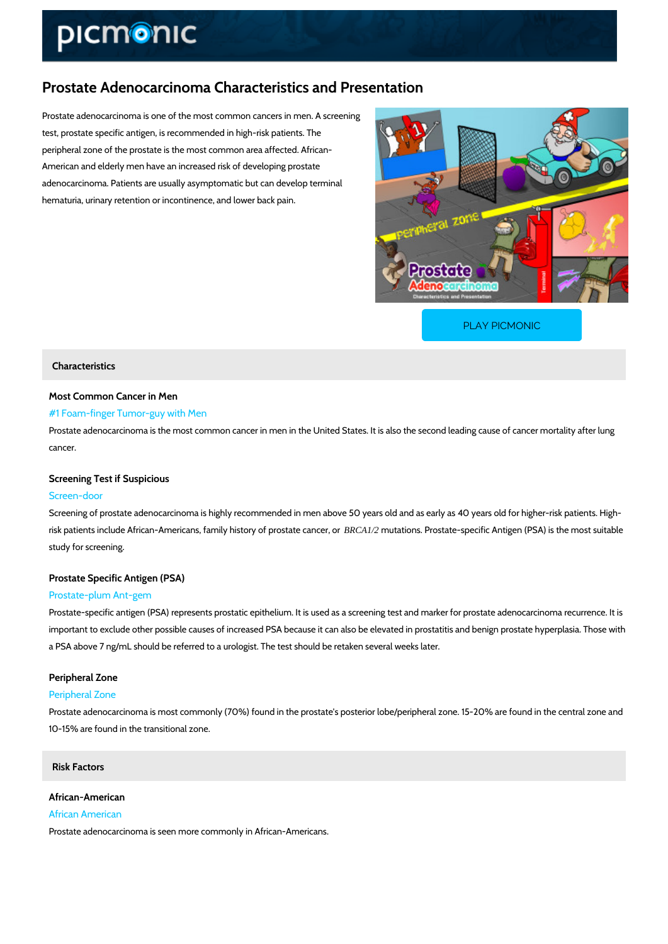# Prostate Adenocarcinoma Characteristics and Presentation

Prostate adenocarcinoma is one of the most common cancers in men. A screening test, prostate specific antigen, is recommended in high-risk patients. The peripheral zone of the prostate is the most common area affected. African- American and elderly men have an increased risk of developing prostate adenocarcinoma. Patients are usually asymptomatic but can develop terminal hematuria, urinary retention or incontinence, and lower back pain.

[PLAY PICMONIC](https://www.picmonic.com/learn/prostate-adenocarcinoma-characteristics-and-presentation_50394?utm_source=downloadable_content&utm_medium=distributedcontent&utm_campaign=pathways_pdf&utm_content=Prostate Adenocarcinoma Characteristics and Presentation&utm_ad_group=leads&utm_market=all)

### Characteristics

Most Common Cancer in Men

### #1 Foam-finger Tumor-guy with Men

Prostate adenocarcinoma is the most common cancer in men in the United States. It is also th cancer.

### Screening Test if Suspicious

#### Screen-door

Screening of prostate adenocarcinoma is highly recommended in men above 50 years old and a risk patients include African-Americans, famiBRCA1/2 thouy adfopmso.s Parbestcaat besepecific Antigen (PSA) study for screening.

# Prostate Specific Antigen (PSA)

### Prostate-plum Ant-gem

Prostate-specific antigen (PSA) represents prostatic epithelium. It is used as a screening tes important to exclude other possible causes of increased PSA because it can also be elevated a PSA above 7 ng/mL should be referred to a urologist. The test should be retaken several we

# Peripheral Zone

## Peripheral Zone

Prostate adenocarcinoma is most commonly (70%) found in the prostate's posterior lobe/perip 10-15% are found in the transitional zone.

### Risk Factors

# African-American African American

Prostate adenocarcinoma is seen more commonly in African-Americans.